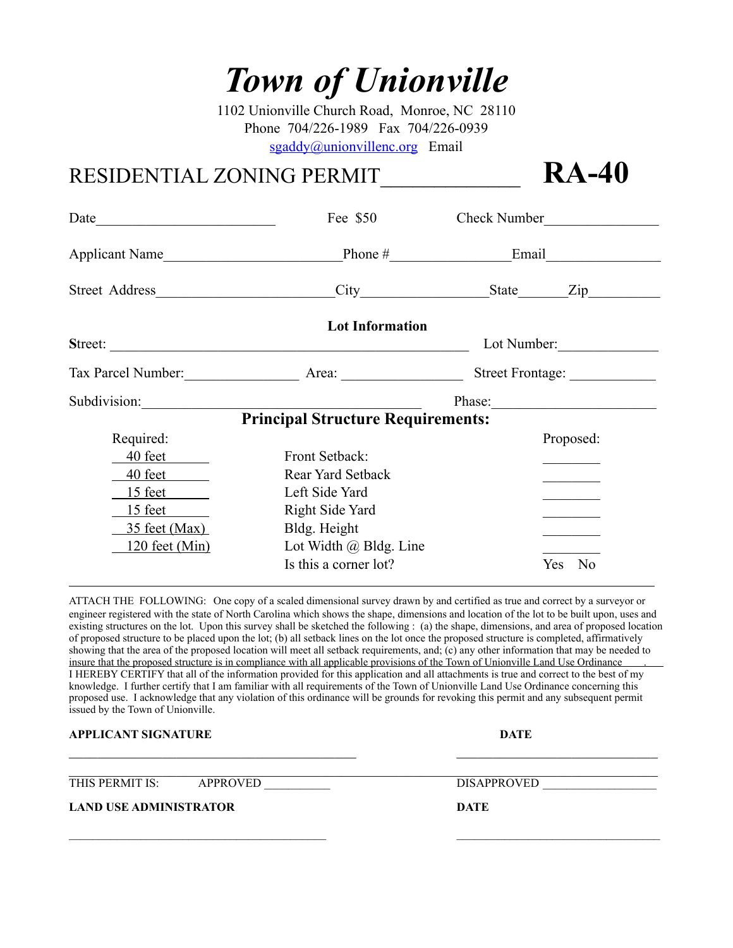# *Town of Unionville*

1102 Unionville Church Road, Monroe, NC 28110 Phone 704/226-1989 Fax 704/226-0939 [sgaddy@unionvillenc.org](mailto:sgaddy@unionvillenc.org) Email

### RESIDENTIAL ZONING PERMIT\_\_\_\_\_\_\_\_\_\_\_\_\_ **RA-40**

Date Fee \$50 Check Number Applicant Name\_\_\_\_\_\_\_\_\_\_\_\_\_\_\_\_\_\_\_\_\_\_\_\_\_Phone #\_\_\_\_\_\_\_\_\_\_\_\_\_\_\_\_\_Email\_\_\_\_\_\_\_\_\_\_\_\_\_\_\_\_ Street Address City City State Zip **Lot Information S**treet: \_\_\_\_\_\_\_\_\_\_\_\_\_\_\_\_\_\_\_\_\_\_\_\_\_\_\_\_\_\_\_\_\_\_\_\_\_\_\_\_\_\_\_\_\_\_\_\_\_\_ Lot Number:\_\_\_\_\_\_\_\_\_\_\_\_\_\_ Tax Parcel Number: <br>Area: <br> Tax Parcel Number: <br>  $Area:$  Street Frontage: <br>  $2.$ Subdivision: Thas example a set of the set of the set of the set of the set of the set of the set of the set of the set of the set of the set of the set of the set of the set of the set of the set of the set of the set of **Principal Structure Requirements:** Required: Proposed: Proposed: 40 feet Front Setback: 40 feet Rear Yard Setback 15 feet Left Side Yard 15 feet Right Side Yard 35 feet (Max) Bldg. Height 120 feet (Min) Lot Width  $\omega$  Bldg. Line Is this a corner lot? Yes No

ATTACH THE FOLLOWING: One copy of a scaled dimensional survey drawn by and certified as true and correct by a surveyor or engineer registered with the state of North Carolina which shows the shape, dimensions and location of the lot to be built upon, uses and existing structures on the lot. Upon this survey shall be sketched the following : (a) the shape, dimensions, and area of proposed location of proposed structure to be placed upon the lot; (b) all setback lines on the lot once the proposed structure is completed, affirmatively showing that the area of the proposed location will meet all setback requirements, and; (c) any other information that may be needed to insure that the proposed structure is in compliance with all applicable provisions of the Town of Unionville Land Use Ordinance . I HEREBY CERTIFY that all of the information provided for this application and all attachments is true and correct to the best of my knowledge. I further certify that I am familiar with all requirements of the Town of Unionville Land Use Ordinance concerning this proposed use. I acknowledge that any violation of this ordinance will be grounds for revoking this permit and any subsequent permit issued by the Town of Unionville.

 $\_$  , and the contribution of the contribution of  $\mathcal{L}_\mathcal{A}$  , and the contribution of  $\mathcal{L}_\mathcal{A}$ 

 $\_$  , and the state of the state of the state of the state of the state of the state of the state of the state of the state of the state of the state of the state of the state of the state of the state of the state of the

#### **APPLICANT SIGNATURE DATE**

THIS PERMIT IS: APPROVED \_\_\_\_\_\_\_\_\_\_\_ DISAPPROVED \_\_\_\_\_\_\_\_\_\_\_\_\_\_\_\_\_\_\_

 $\_$  , and the contribution of the contribution of the contribution of the contribution of  $\mathcal{L}_\mathcal{A}$ 

#### **LAND USE ADMINISTRATOR DATE**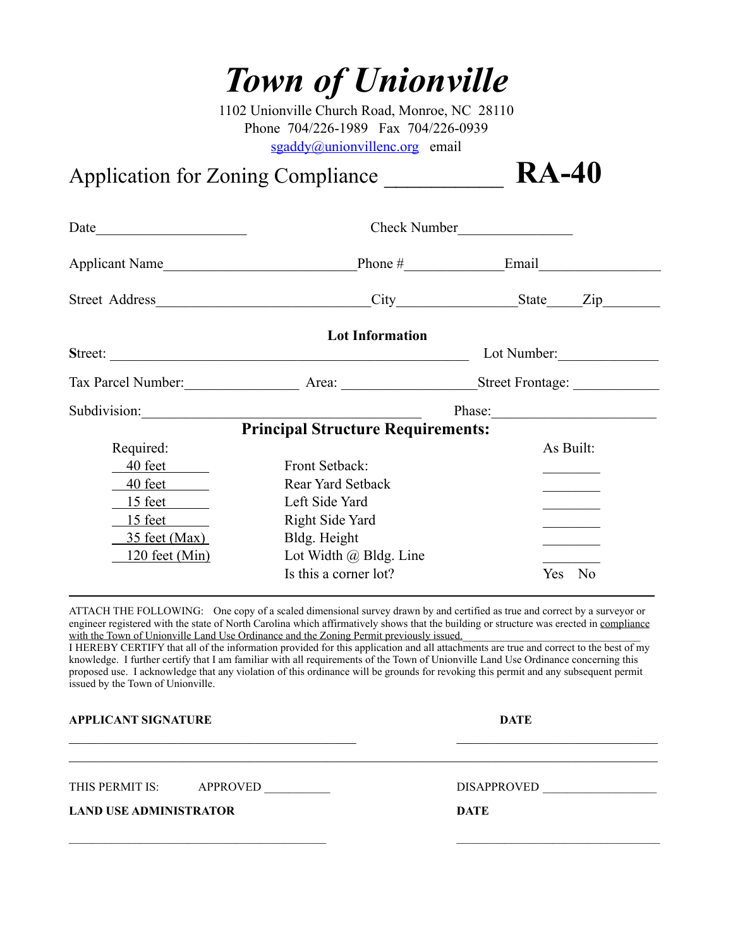# *Town of Unionville*

1102 Unionville Church Road, Monroe, NC 28110 Phone 704/226-1989 Fax 704/226-0939 [sgaddy@unionvillenc.org](mailto:sgaddy@unionvillenc.org) email

# Application for Zoning Compliance \_\_\_\_\_\_\_\_\_\_ **RA-40**

Date Check Number Applicant Name\_\_\_\_\_\_\_\_\_\_\_\_\_\_\_\_\_\_\_\_\_\_\_\_\_\_\_Phone #\_\_\_\_\_\_\_\_\_\_\_\_\_\_Email\_\_\_\_\_\_\_\_\_\_\_\_\_\_\_\_\_ Street Address\_\_\_\_\_\_\_\_\_\_\_\_\_\_\_\_\_\_\_\_\_\_\_\_\_\_\_\_\_\_City\_\_\_\_\_\_\_\_\_\_\_\_\_\_\_\_\_State\_\_\_\_\_Zip\_\_\_\_\_\_\_\_ **Lot Information S**treet: \_\_\_\_\_\_\_\_\_\_\_\_\_\_\_\_\_\_\_\_\_\_\_\_\_\_\_\_\_\_\_\_\_\_\_\_\_\_\_\_\_\_\_\_\_\_\_\_\_\_ Lot Number:\_\_\_\_\_\_\_\_\_\_\_\_\_\_ Tax Parcel Number: Area: Area: Street Frontage: 2014 Subdivision: Thas example 20 and  $\blacksquare$  Phase: **Principal Structure Requirements:** Required: As Built: 40 feet Front Setback: 40 feet Rear Yard Setback 15 feet Left Side Yard 15 feet Right Side Yard 35 feet (Max) Bldg. Height 120 feet (Min) Lot Width  $\omega$  Bldg. Line Is this a corner lot? Yes No

ATTACH THE FOLLOWING: One copy of a scaled dimensional survey drawn by and certified as true and correct by a surveyor or engineer registered with the state of North Carolina which affirmatively shows that the building or structure was erected in compliance with the Town of Unionville Land Use Ordinance and the Zoning Permit previously issued.

I HEREBY CERTIFY that all of the information provided for this application and all attachments are true and correct to the best of my knowledge. I further certify that I am familiar with all requirements of the Town of Unionville Land Use Ordinance concerning this proposed use. I acknowledge that any violation of this ordinance will be grounds for revoking this permit and any subsequent permit issued by the Town of Unionville.

 $\_$  , and the contribution of the contribution of  $\mathcal{L}_\mathcal{A}$  , and the contribution of  $\mathcal{L}_\mathcal{A}$  $\_$  , and the contribution of the contribution of the contribution of the contribution of  $\mathcal{L}_\mathcal{A}$ 

 $\Box$  . The contribution of the contribution of the contribution of the contribution of the contribution of the contribution of the contribution of the contribution of the contribution of the contribution of the contributi

**APPLICANT SIGNATURE DATE** 

THIS PERMIT IS: APPROVED \_\_\_\_\_\_\_\_\_\_\_ DISAPPROVED \_\_\_\_\_\_\_\_\_\_\_\_\_\_\_\_\_\_\_

**LAND USE ADMINISTRATOR DATE**